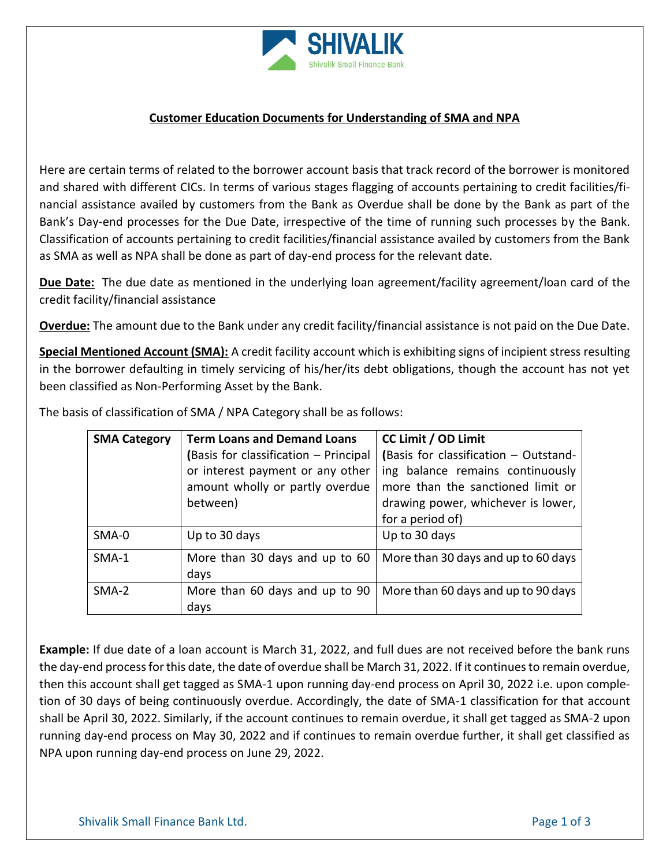

## **Customer Education Documents for Understanding of SMA and NPA**

Here are certain terms of related to the borrower account basis that track record of the borrower is monitored and shared with different CICs. In terms of various stages flagging of accounts pertaining to credit facilities/financial assistance availed by customers from the Bank as Overdue shall be done by the Bank as part of the Bank's Day-end processes for the Due Date, irrespective of the time of running such processes by the Bank. Classification of accounts pertaining to credit facilities/financial assistance availed by customers from the Bank as SMA as well as NPA shall be done as part of day-end process for the relevant date.

**Due Date:** The due date as mentioned in the underlying loan agreement/facility agreement/loan card of the credit facility/financial assistance

**Overdue:** The amount due to the Bank under any credit facility/financial assistance is not paid on the Due Date.

**Special Mentioned Account (SMA):** A credit facility account which is exhibiting signs of incipient stress resulting in the borrower defaulting in timely servicing of his/her/its debt obligations, though the account has not yet been classified as Non-Performing Asset by the Bank.

| <b>SMA Category</b> | <b>Term Loans and Demand Loans</b>    | CC Limit / OD Limit                   |
|---------------------|---------------------------------------|---------------------------------------|
|                     | (Basis for classification - Principal | (Basis for classification - Outstand- |
|                     | or interest payment or any other      | ing balance remains continuously      |
|                     | amount wholly or partly overdue       | more than the sanctioned limit or     |
|                     | between)                              | drawing power, whichever is lower,    |
|                     |                                       | for a period of)                      |
| SMA-0               | Up to 30 days                         | Up to 30 days                         |
| SMA-1               | More than 30 days and up to 60        | More than 30 days and up to 60 days   |
|                     | days                                  |                                       |
| $SMA-2$             | More than 60 days and up to 90        | More than 60 days and up to 90 days   |
|                     | days                                  |                                       |

The basis of classification of SMA / NPA Category shall be as follows:

**Example:** If due date of a loan account is March 31, 2022, and full dues are not received before the bank runs the day-end process for this date, the date of overdue shall be March 31, 2022. If it continues to remain overdue, then this account shall get tagged as SMA-1 upon running day-end process on April 30, 2022 i.e. upon completion of 30 days of being continuously overdue. Accordingly, the date of SMA-1 classification for that account shall be April 30, 2022. Similarly, if the account continues to remain overdue, it shall get tagged as SMA-2 upon running day-end process on May 30, 2022 and if continues to remain overdue further, it shall get classified as NPA upon running day-end process on June 29, 2022.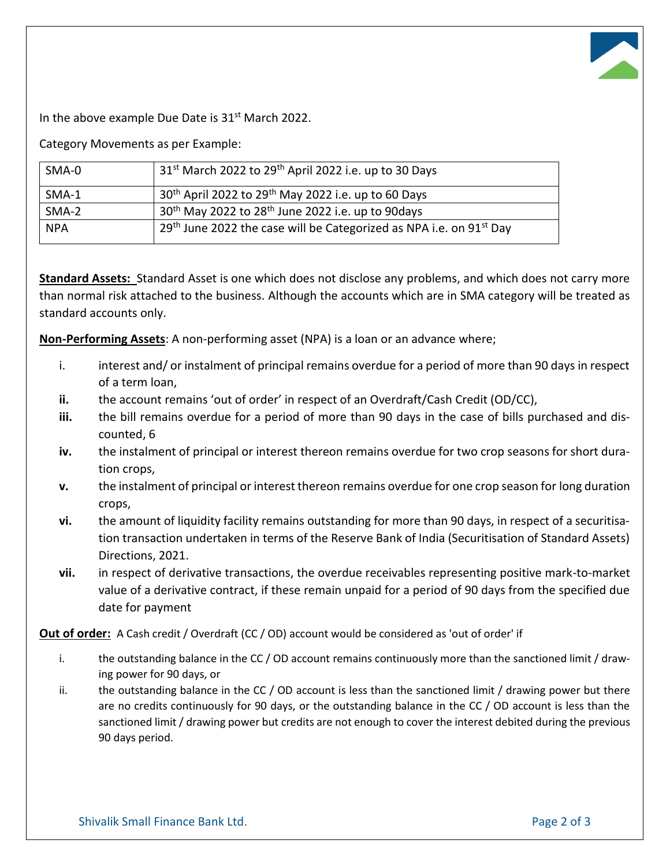In the above example Due Date is 31<sup>st</sup> March 2022.

Category Movements as per Example:

| SMA-0      | 31 <sup>st</sup> March 2022 to 29 <sup>th</sup> April 2022 i.e. up to 30 Days   |  |
|------------|---------------------------------------------------------------------------------|--|
| SMA-1      | 30 <sup>th</sup> April 2022 to 29 <sup>th</sup> May 2022 i.e. up to 60 Days     |  |
| $SMA-2$    | 30 <sup>th</sup> May 2022 to 28 <sup>th</sup> June 2022 i.e. up to 90days       |  |
| <b>NPA</b> | 29th June 2022 the case will be Categorized as NPA i.e. on 91 <sup>st</sup> Day |  |

**Standard Assets:** Standard Asset is one which does not disclose any problems, and which does not carry more than normal risk attached to the business. Although the accounts which are in SMA category will be treated as standard accounts only.

**Non-Performing Assets**: A non-performing asset (NPA) is a loan or an advance where;

- i. interest and/ or instalment of principal remains overdue for a period of more than 90 days in respect of a term loan,
- **ii.** the account remains 'out of order' in respect of an Overdraft/Cash Credit (OD/CC),
- **iii.** the bill remains overdue for a period of more than 90 days in the case of bills purchased and discounted, 6
- **iv.** the instalment of principal or interest thereon remains overdue for two crop seasons for short duration crops,
- **v.** the instalment of principal or interest thereon remains overdue for one crop season for long duration crops,
- **vi.** the amount of liquidity facility remains outstanding for more than 90 days, in respect of a securitisation transaction undertaken in terms of the Reserve Bank of India (Securitisation of Standard Assets) Directions, 2021.
- **vii.** in respect of derivative transactions, the overdue receivables representing positive mark-to-market value of a derivative contract, if these remain unpaid for a period of 90 days from the specified due date for payment

**Out of order:** A Cash credit / Overdraft (CC / OD) account would be considered as 'out of order' if

- i. the outstanding balance in the CC / OD account remains continuously more than the sanctioned limit / drawing power for 90 days, or
- ii. the outstanding balance in the CC / OD account is less than the sanctioned limit / drawing power but there are no credits continuously for 90 days, or the outstanding balance in the CC / OD account is less than the sanctioned limit / drawing power but credits are not enough to cover the interest debited during the previous 90 days period.